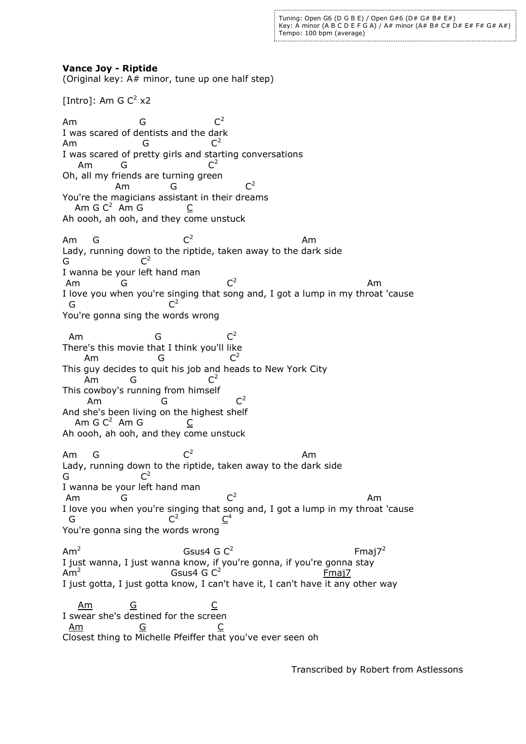Tuning: Open G6 (D G B E) / Open G#6 (D# G# B# E#) Key: A minor (A B C D E F G A) / A# minor (A# B# C# D# E# F# G# A#) Tempo: 100 bpm (average)

## **Vance Joy - Riptide**

(Original key: A# minor, tune up one half step)

[Intro]: Am G  $C^2$  x2

Am G  $C^2$ I was scared of dentists and the dark<br>Am  $G^2$ Am G  $C^2$ I was scared of pretty girls and starting conversations Am G  $C^2$ Oh, all my friends are turning green Am G  $C^2$ You're the magicians assistant in their dreams Am G  $C^2$  Am G  $C$ Ah oooh, ah ooh, and they come unstuck Am G  $\mathsf{C}^2$  Am Lady, running down to the riptide, taken away to the dark side G  $C^2$ I wanna be your left hand man Am G C  $C^2$ aman a tha ann an t-Iomraid ann an t-Iomraid ann an t-Iomraid ann an t-Iomraid ann an t-Iomraid ann an t-Iomra I love you when you're singing that song and, I got a lump in my throat 'cause G  $C^2$ You're gonna sing the words wrong Am G C  $C^2$ There's this movie that I think you'll like Am G  $C^2$ This guy decides to quit his job and heads to New York City<br>Am  $G = C^2$ Am G This cowboy's running from himself Am G  $C^2$ And she's been living on the highest shelf Am G  $C^2$  Am G  $C$ Ah oooh, ah ooh, and they come unstuck Am G  $C^2$  Am Lady, running down to the riptide, taken away to the dark side G  $C^2$ I wanna be your left hand man Am G  $C^2$ aman a tha anns an t-an an Am I love you when you're singing that song and, I got a lump in my throat 'cause<br>  $G^2$   $C^2$ G  $C^2$ <u>C</u> 4 You're gonna sing the words wrong  $Am<sup>2</sup>$ Gsus4 G  $C^2$ Fmaj $7^2$ I just wanna, I just wanna know, if you're gonna, if you're gonna stay  $Am^2$ Gsus4 G  $C^2$  Fmaj7 I just gotta, I just gotta know, I can't have it, I can't have it any other way Am G C I swear she's destined for the screen Am G C Closest thing to Michelle Pfeiffer that you've ever seen oh

Transcribed by Robert from Astlessons